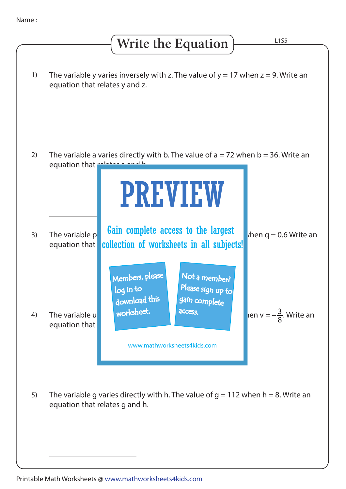## Write the Equation  $\frac{L155}{L155}$

| 1) | equation that relates y and z.                                                                                       | The variable y varies inversely with z. The value of $y = 17$ when $z = 9$ . Write an                                                                                                             |
|----|----------------------------------------------------------------------------------------------------------------------|---------------------------------------------------------------------------------------------------------------------------------------------------------------------------------------------------|
| 2) | equation that <b>Exhause and h</b>                                                                                   | The variable a varies directly with b. The value of $a = 72$ when $b = 36$ . Write an<br><b>PREVIEW</b>                                                                                           |
| 3) | The variable p<br>equation that                                                                                      | Gain complete access to the largest<br>$\lambda$ hen q = 0.6 Write an<br>collection of worksheets in all subjects!                                                                                |
| 4) | The variable u<br>equation that                                                                                      | Members, please<br>Not a member?<br>Please sign up to<br>log in to<br>download this<br>gain complete<br>worksheet.<br>access.<br>ien v = $-\frac{3}{8}$ . Write an<br>www.mathworksheets4kids.com |
| 5) | The variable g varies directly with h. The value of $g = 112$ when h = 8. Write an<br>equation that relates g and h. |                                                                                                                                                                                                   |